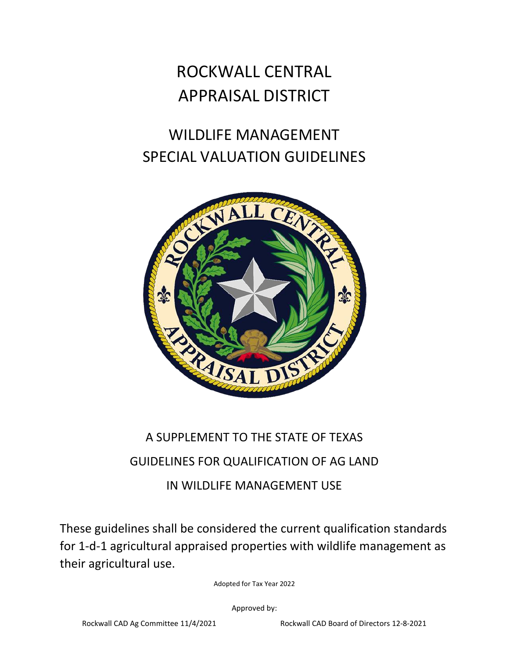# ROCKWALL CENTRAL APPRAISAL DISTRICT

## WILDLIFE MANAGEMENT SPECIAL VALUATION GUIDELINES



## A SUPPLEMENT TO THE STATE OF TEXAS GUIDELINES FOR QUALIFICATION OF AG LAND IN WILDLIFE MANAGEMENT USE

These guidelines shall be considered the current qualification standards for 1-d-1 agricultural appraised properties with wildlife management as their agricultural use.

Adopted for Tax Year 2022

Approved by: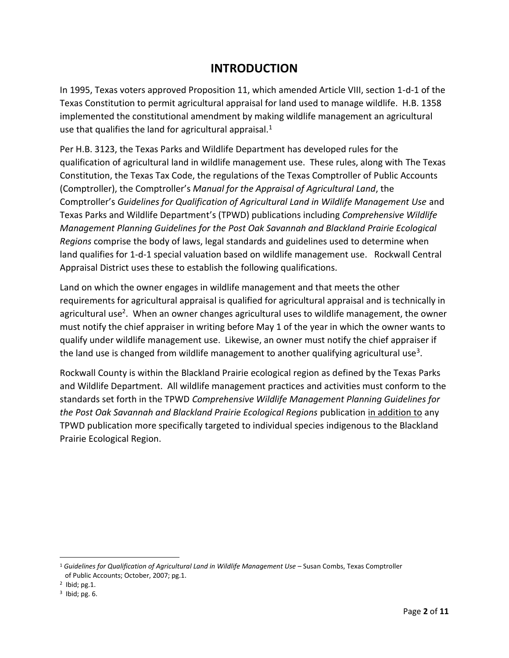### **INTRODUCTION**

In 1995, Texas voters approved Proposition 11, which amended Article VIII, section 1-d-1 of the Texas Constitution to permit agricultural appraisal for land used to manage wildlife. H.B. 1358 implemented the constitutional amendment by making wildlife management an agricultural use that qualifies the land for agricultural appraisal. $1$ 

Per H.B. 3123, the Texas Parks and Wildlife Department has developed rules for the qualification of agricultural land in wildlife management use. These rules, along with The Texas Constitution, the Texas Tax Code, the regulations of the Texas Comptroller of Public Accounts (Comptroller), the Comptroller's *Manual for the Appraisal of Agricultural Land*, the Comptroller's *Guidelines for Qualification of Agricultural Land in Wildlife Management Use* and Texas Parks and Wildlife Department's (TPWD) publications including *Comprehensive Wildlife Management Planning Guidelines for the Post Oak Savannah and Blackland Prairie Ecological Regions* comprise the body of laws, legal standards and guidelines used to determine when land qualifies for 1-d-1 special valuation based on wildlife management use. Rockwall Central Appraisal District uses these to establish the following qualifications.

Land on which the owner engages in wildlife management and that meets the other requirements for agricultural appraisal is qualified for agricultural appraisal and is technically in agricultural use<sup>2</sup>. When an owner changes agricultural uses to wildlife management, the owner must notify the chief appraiser in writing before May 1 of the year in which the owner wants to qualify under wildlife management use. Likewise, an owner must notify the chief appraiser if the land use is changed from wildlife management to another qualifying agricultural use<sup>3</sup>.

Rockwall County is within the Blackland Prairie ecological region as defined by the Texas Parks and Wildlife Department. All wildlife management practices and activities must conform to the standards set forth in the TPWD *Comprehensive Wildlife Management Planning Guidelines for the Post Oak Savannah and Blackland Prairie Ecological Regions* publication in addition to any TPWD publication more specifically targeted to individual species indigenous to the Blackland Prairie Ecological Region.

<sup>&</sup>lt;sup>1</sup> Guidelines for Qualification of Agricultural Land in Wildlife Management Use – Susan Combs, Texas Comptroller of Public Accounts; October, 2007; pg.1.

 $2$  Ibid; pg.1.

 $3$  Ibid; pg. 6.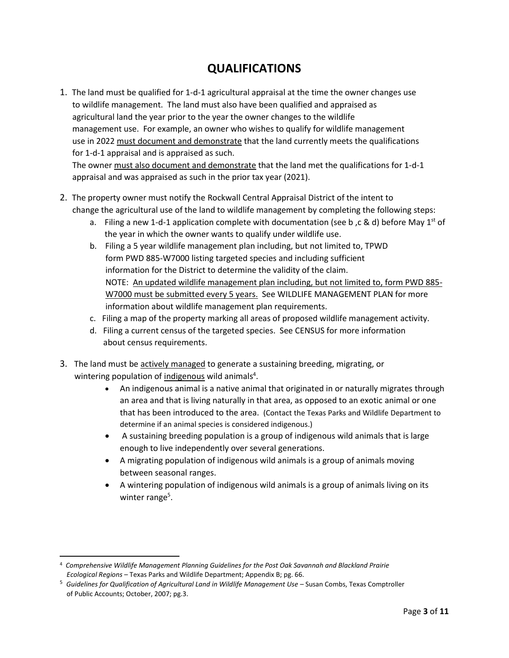### **QUALIFICATIONS**

1. The land must be qualified for 1-d-1 agricultural appraisal at the time the owner changes use to wildlife management. The land must also have been qualified and appraised as agricultural land the year prior to the year the owner changes to the wildlife management use. For example, an owner who wishes to qualify for wildlife management use in 2022 must document and demonstrate that the land currently meets the qualifications for 1-d-1 appraisal and is appraised as such. The owner must also document and demonstrate that the land met the qualifications for 1-d-1

 appraisal and was appraised as such in the prior tax year (2021). 2. The property owner must notify the Rockwall Central Appraisal District of the intent to

- change the agricultural use of the land to wildlife management by completing the following steps:
	- a. Filing a new 1-d-1 application complete with documentation (see b, c & d) before May 1st of the year in which the owner wants to qualify under wildlife use.
	- b. Filing a 5 year wildlife management plan including, but not limited to, TPWD form PWD 885-W7000 listing targeted species and including sufficient information for the District to determine the validity of the claim. NOTE: An updated wildlife management plan including, but not limited to, form PWD 885- W7000 must be submitted every 5 years. See WILDLIFE MANAGEMENT PLAN for more information about wildlife management plan requirements.
	- c. Filing a map of the property marking all areas of proposed wildlife management activity.
	- d. Filing a current census of the targeted species. See CENSUS for more information about census requirements.
- 3. The land must be actively managed to generate a sustaining breeding, migrating, or wintering population of indigenous wild animals<sup>4</sup>.
	- An indigenous animal is a native animal that originated in or naturally migrates through an area and that is living naturally in that area, as opposed to an exotic animal or one that has been introduced to the area. (Contact the Texas Parks and Wildlife Department to determine if an animal species is considered indigenous.)
	- A sustaining breeding population is a group of indigenous wild animals that is large enough to live independently over several generations.
	- A migrating population of indigenous wild animals is a group of animals moving between seasonal ranges.
	- A wintering population of indigenous wild animals is a group of animals living on its winter range<sup>5</sup>.

<sup>4</sup> *Comprehensive Wildlife Management Planning Guidelines for the Post Oak Savannah and Blackland Prairie Ecological Regions* – Texas Parks and Wildlife Department; Appendix B; pg. 66.

<sup>&</sup>lt;sup>5</sup> Guidelines for Qualification of Agricultural Land in Wildlife Management Use – Susan Combs, Texas Comptroller of Public Accounts; October, 2007; pg.3.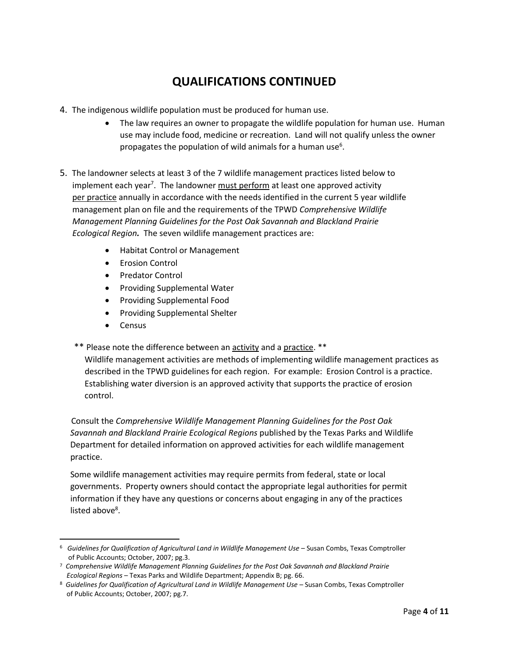### **QUALIFICATIONS CONTINUED**

- 4. The indigenous wildlife population must be produced for human use.
	- The law requires an owner to propagate the wildlife population for human use. Human use may include food, medicine or recreation. Land will not qualify unless the owner propagates the population of wild animals for a human use<sup>6</sup>.
- 5. The landowner selects at least 3 of the 7 wildlife management practices listed below to implement each year<sup>7</sup>. The landowner must perform at least one approved activity per practice annually in accordance with the needs identified in the current 5 year wildlife management plan on file and the requirements of the TPWD *Comprehensive Wildlife Management Planning Guidelines for the Post Oak Savannah and Blackland Prairie Ecological Region.* The seven wildlife management practices are:
	- Habitat Control or Management
	- Erosion Control
	- Predator Control
	- Providing Supplemental Water
	- Providing Supplemental Food
	- Providing Supplemental Shelter
	- Census
	- \*\* Please note the difference between an activity and a practice. \*\*

 Wildlife management activities are methods of implementing wildlife management practices as described in the TPWD guidelines for each region. For example: Erosion Control is a practice. Establishing water diversion is an approved activity that supports the practice of erosion control.

 Consult the *Comprehensive Wildlife Management Planning Guidelines for the Post Oak Savannah and Blackland Prairie Ecological Regions* published by the Texas Parks and Wildlife Department for detailed information on approved activities for each wildlife management practice.

 Some wildlife management activities may require permits from federal, state or local governments. Property owners should contact the appropriate legal authorities for permit information if they have any questions or concerns about engaging in any of the practices listed above<sup>8</sup>.

<sup>6</sup> *Guidelines for Qualification of Agricultural Land in Wildlife Management Use* – Susan Combs, Texas Comptroller of Public Accounts; October, 2007; pg.3.

<sup>7</sup> *Comprehensive Wildlife Management Planning Guidelines for the Post Oak Savannah and Blackland Prairie Ecological Regions* – Texas Parks and Wildlife Department; Appendix B; pg. 66.

<sup>8</sup> Guidelines for Qualification of Agricultural Land in Wildlife Management Use - Susan Combs, Texas Comptroller of Public Accounts; October, 2007; pg.7.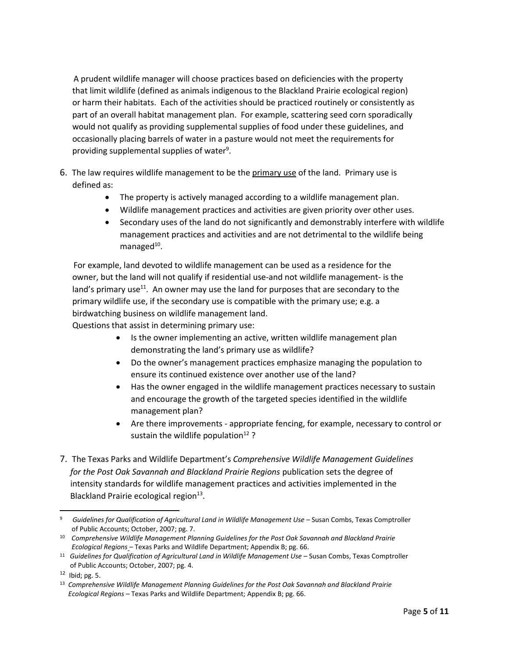A prudent wildlife manager will choose practices based on deficiencies with the property that limit wildlife (defined as animals indigenous to the Blackland Prairie ecological region) or harm their habitats. Each of the activities should be practiced routinely or consistently as part of an overall habitat management plan. For example, scattering seed corn sporadically would not qualify as providing supplemental supplies of food under these guidelines, and occasionally placing barrels of water in a pasture would not meet the requirements for providing supplemental supplies of water<sup>9</sup>.

- 6. The law requires wildlife management to be the primary use of the land. Primary use is defined as:
	- The property is actively managed according to a wildlife management plan.
	- Wildlife management practices and activities are given priority over other uses.
	- Secondary uses of the land do not significantly and demonstrably interfere with wildlife management practices and activities and are not detrimental to the wildlife being managed<sup>10</sup>.

 For example, land devoted to wildlife management can be used as a residence for the owner, but the land will not qualify if residential use-and not wildlife management- is the land's primary use $11$ . An owner may use the land for purposes that are secondary to the primary wildlife use, if the secondary use is compatible with the primary use; e.g. a birdwatching business on wildlife management land. Questions that assist in determining primary use:

- Is the owner implementing an active, written wildlife management plan demonstrating the land's primary use as wildlife?
- Do the owner's management practices emphasize managing the population to ensure its continued existence over another use of the land?
- Has the owner engaged in the wildlife management practices necessary to sustain and encourage the growth of the targeted species identified in the wildlife management plan?
- Are there improvements appropriate fencing, for example, necessary to control or sustain the wildlife population<sup>12</sup>?
- 7. The Texas Parks and Wildlife Department's *Comprehensive Wildlife Management Guidelines for the Post Oak Savannah and Blackland Prairie Regions* publication sets the degree of intensity standards for wildlife management practices and activities implemented in the Blackland Prairie ecological region<sup>13</sup>.

<sup>&</sup>lt;sup>9</sup> Guidelines for Qualification of Agricultural Land in Wildlife Management Use – Susan Combs, Texas Comptroller of Public Accounts; October, 2007; pg. 7.

<sup>10</sup> *Comprehensive Wildlife Management Planning Guidelines for the Post Oak Savannah and Blackland Prairie Ecological Regions* – Texas Parks and Wildlife Department; Appendix B; pg. 66.

<sup>&</sup>lt;sup>11</sup> Guidelines for Qualification of Agricultural Land in Wildlife Management Use – Susan Combs, Texas Comptroller of Public Accounts; October, 2007; pg. 4.

 $12$  Ibid; pg. 5.

<sup>13</sup> *Comprehensive Wildlife Management Planning Guidelines for the Post Oak Savannah and Blackland Prairie Ecological Regions* – Texas Parks and Wildlife Department; Appendix B; pg. 66.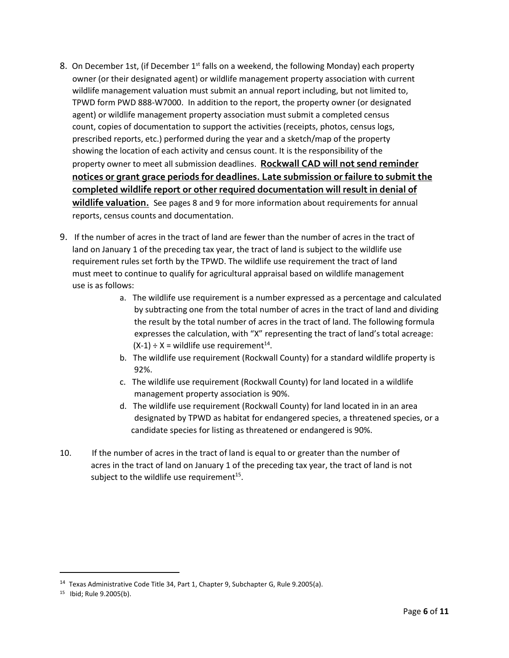- 8. On December 1st, (if December  $1<sup>st</sup>$  falls on a weekend, the following Monday) each property owner (or their designated agent) or wildlife management property association with current wildlife management valuation must submit an annual report including, but not limited to, TPWD form PWD 888-W7000. In addition to the report, the property owner (or designated agent) or wildlife management property association must submit a completed census count, copies of documentation to support the activities (receipts, photos, census logs, prescribed reports, etc.) performed during the year and a sketch/map of the property showing the location of each activity and census count. It is the responsibility of the property owner to meet all submission deadlines. **Rockwall CAD will not send reminder notices or grant grace periods for deadlines. Late submission or failure to submit the completed wildlife report or other required documentation will result in denial of wildlife valuation.** See pages 8 and 9 for more information about requirements for annual reports, census counts and documentation.
- 9. If the number of acres in the tract of land are fewer than the number of acres in the tract of land on January 1 of the preceding tax year, the tract of land is subject to the wildlife use requirement rules set forth by the TPWD. The wildlife use requirement the tract of land must meet to continue to qualify for agricultural appraisal based on wildlife management use is as follows:
	- a. The wildlife use requirement is a number expressed as a percentage and calculated by subtracting one from the total number of acres in the tract of land and dividing the result by the total number of acres in the tract of land. The following formula expresses the calculation, with "X" representing the tract of land's total acreage:  $(X-1) \div X =$  wildlife use requirement<sup>14</sup>.
		- b. The wildlife use requirement (Rockwall County) for a standard wildlife property is 92%.
		- c. The wildlife use requirement (Rockwall County) for land located in a wildlife management property association is 90%.
		- d. The wildlife use requirement (Rockwall County) for land located in in an area designated by TPWD as habitat for endangered species, a threatened species, or a candidate species for listing as threatened or endangered is 90%.
- 10. If the number of acres in the tract of land is equal to or greater than the number of acres in the tract of land on January 1 of the preceding tax year, the tract of land is not subject to the wildlife use requirement<sup>15</sup>.

<sup>&</sup>lt;sup>14</sup> Texas Administrative Code Title 34, Part 1, Chapter 9, Subchapter G, Rule 9.2005(a).

<sup>15</sup> Ibid; Rule 9.2005(b).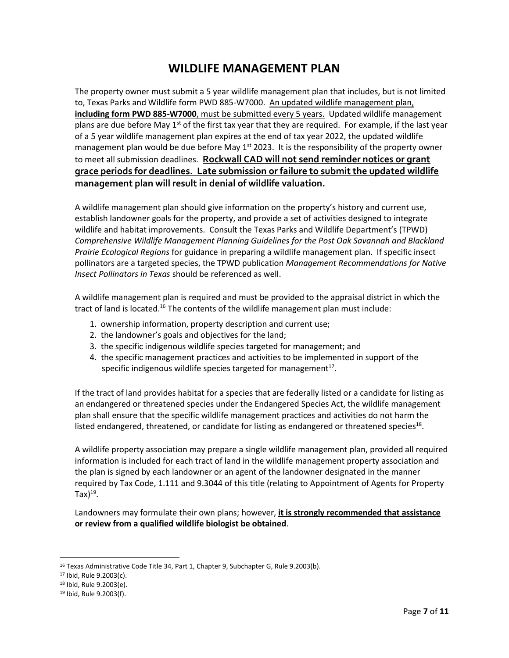### **WILDLIFE MANAGEMENT PLAN**

The property owner must submit a 5 year wildlife management plan that includes, but is not limited to, Texas Parks and Wildlife form PWD 885-W7000. An updated wildlife management plan, **including form PWD 885-W7000**, must be submitted every 5 years. Updated wildlife management plans are due before May  $1<sup>st</sup>$  of the first tax year that they are required. For example, if the last year of a 5 year wildlife management plan expires at the end of tax year 2022, the updated wildlife management plan would be due before May  $1<sup>st</sup>$  2023. It is the responsibility of the property owner to meet all submission deadlines. **Rockwall CAD will not send reminder notices or grant grace periods for deadlines. Late submission or failure to submit the updated wildlife management plan will result in denial of wildlife valuation.**

A wildlife management plan should give information on the property's history and current use, establish landowner goals for the property, and provide a set of activities designed to integrate wildlife and habitat improvements. Consult the Texas Parks and Wildlife Department's (TPWD) *Comprehensive Wildlife Management Planning Guidelines for the Post Oak Savannah and Blackland Prairie Ecological Regions* for guidance in preparing a wildlife management plan. If specific insect pollinators are a targeted species, the TPWD publication *Management Recommendations for Native Insect Pollinators in Texas* should be referenced as well.

A wildlife management plan is required and must be provided to the appraisal district in which the tract of land is located.<sup>16</sup> The contents of the wildlife management plan must include:

- 1. ownership information, property description and current use;
- 2. the landowner's goals and objectives for the land;
- 3. the specific indigenous wildlife species targeted for management; and
- 4. the specific management practices and activities to be implemented in support of the specific indigenous wildlife species targeted for management $^{17}$ .

If the tract of land provides habitat for a species that are federally listed or a candidate for listing as an endangered or threatened species under the Endangered Species Act, the wildlife management plan shall ensure that the specific wildlife management practices and activities do not harm the listed endangered, threatened, or candidate for listing as endangered or threatened species $^{18}$ .

A wildlife property association may prepare a single wildlife management plan, provided all required information is included for each tract of land in the wildlife management property association and the plan is signed by each landowner or an agent of the landowner designated in the manner required by Tax Code, 1.111 and 9.3044 of this title (relating to Appointment of Agents for Property Tax) $^{19}$ .

Landowners may formulate their own plans; however, **it is strongly recommended that assistance or review from a qualified wildlife biologist be obtained**.

<sup>&</sup>lt;sup>16</sup> Texas Administrative Code Title 34, Part 1, Chapter 9, Subchapter G, Rule 9.2003(b).

<sup>17</sup> Ibid, Rule 9.2003(c).

<sup>18</sup> Ibid, Rule 9.2003(e).

<sup>19</sup> Ibid, Rule 9.2003(f).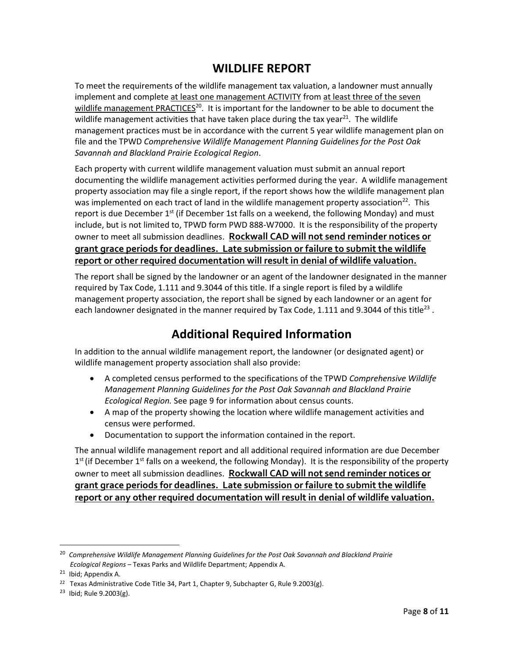### **WILDLIFE REPORT**

To meet the requirements of the wildlife management tax valuation, a landowner must annually implement and complete at least one management ACTIVITY from at least three of the seven wildlife management PRACTICES<sup>20</sup>. It is important for the landowner to be able to document the wildlife management activities that have taken place during the tax year<sup>21</sup>. The wildlife management practices must be in accordance with the current 5 year wildlife management plan on file and the TPWD *Comprehensive Wildlife Management Planning Guidelines for the Post Oak Savannah and Blackland Prairie Ecological Region*.

Each property with current wildlife management valuation must submit an annual report documenting the wildlife management activities performed during the year. A wildlife management property association may file a single report, if the report shows how the wildlife management plan was implemented on each tract of land in the wildlife management property association<sup>22</sup>. This report is due December 1<sup>st</sup> (if December 1st falls on a weekend, the following Monday) and must include, but is not limited to, TPWD form PWD 888-W7000. It is the responsibility of the property owner to meet all submission deadlines.**Rockwall CAD will not send reminder notices or grant grace periods for deadlines. Late submission or failure to submit the wildlife report or other required documentation will result in denial of wildlife valuation.**

The report shall be signed by the landowner or an agent of the landowner designated in the manner required by Tax Code, 1.111 and 9.3044 of this title. If a single report is filed by a wildlife management property association, the report shall be signed by each landowner or an agent for each landowner designated in the manner required by Tax Code, 1.111 and 9.3044 of this title<sup>23</sup>.

## **Additional Required Information**

In addition to the annual wildlife management report, the landowner (or designated agent) or wildlife management property association shall also provide:

- A completed census performed to the specifications of the TPWD *Comprehensive Wildlife Management Planning Guidelines for the Post Oak Savannah and Blackland Prairie Ecological Region.* See page 9 for information about census counts.
- A map of the property showing the location where wildlife management activities and census were performed.
- Documentation to support the information contained in the report.

The annual wildlife management report and all additional required information are due December 1<sup>st</sup> (if December 1<sup>st</sup> falls on a weekend, the following Monday). It is the responsibility of the property owner to meet all submission deadlines. **Rockwall CAD will not send reminder notices or grant grace periods for deadlines. Late submission or failure to submit the wildlife report or any other required documentation will result in denial of wildlife valuation.**

<sup>&</sup>lt;sup>20</sup> Comprehensive Wildlife Management Planning Guidelines for the Post Oak Savannah and Blackland Prairie  *Ecological Regions* – Texas Parks and Wildlife Department; Appendix A.

<sup>&</sup>lt;sup>21</sup> Ibid; Appendix A.

<sup>&</sup>lt;sup>22</sup> Texas Administrative Code Title 34, Part 1, Chapter 9, Subchapter G, Rule 9.2003(g).

<sup>&</sup>lt;sup>23</sup> Ibid; Rule 9.2003(g).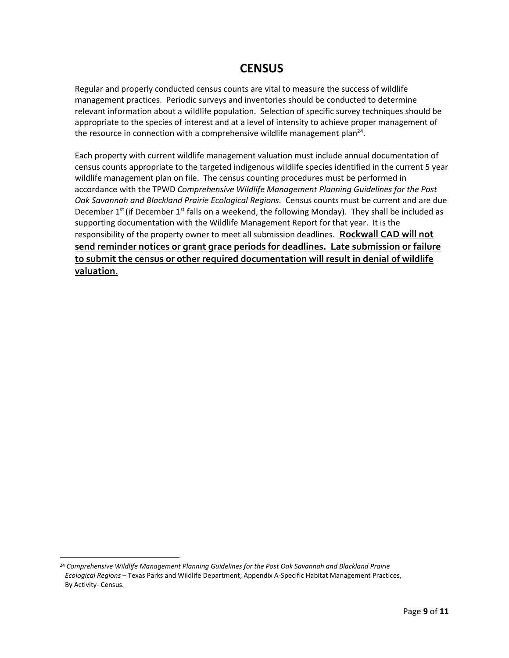#### **CENSUS**

Regular and properly conducted census counts are vital to measure the success of wildlife management practices. Periodic surveys and inventories should be conducted to determine relevant information about a wildlife population. Selection of specific survey techniques should be appropriate to the species of interest and at a level of intensity to achieve proper management of the resource in connection with a comprehensive wildlife management plan<sup>24</sup>.

Each property with current wildlife management valuation must include annual documentation of census counts appropriate to the targeted indigenous wildlife species identified in the current 5 year wildlife management plan on file. The census counting procedures must be performed in accordance with the TPWD *Comprehensive Wildlife Management Planning Guidelines for the Post Oak Savannah and Blackland Prairie Ecological Regions.* Census counts must be current and are due December 1<sup>st</sup> (if December 1<sup>st</sup> falls on a weekend, the following Monday). They shall be included as supporting documentation with the Wildlife Management Report for that year. It is the responsibility of the property owner to meet all submission deadlines*.* **Rockwall CAD will not send reminder notices or grant grace periods for deadlines. Late submission or failure to submit the census or other required documentation will result in denial of wildlife valuation.**

<sup>24</sup> *Comprehensive Wildlife Management Planning Guidelines for the Post Oak Savannah and Blackland Prairie Ecological Regions* – Texas Parks and Wildlife Department; Appendix A-Specific Habitat Management Practices, By Activity- Census.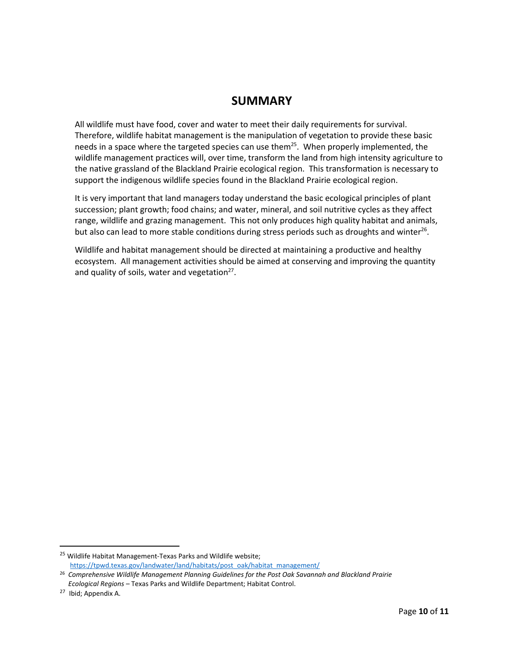#### **SUMMARY**

All wildlife must have food, cover and water to meet their daily requirements for survival. Therefore, wildlife habitat management is the manipulation of vegetation to provide these basic needs in a space where the targeted species can use them<sup>25</sup>. When properly implemented, the wildlife management practices will, over time, transform the land from high intensity agriculture to the native grassland of the Blackland Prairie ecological region. This transformation is necessary to support the indigenous wildlife species found in the Blackland Prairie ecological region.

It is very important that land managers today understand the basic ecological principles of plant succession; plant growth; food chains; and water, mineral, and soil nutritive cycles as they affect range, wildlife and grazing management. This not only produces high quality habitat and animals, but also can lead to more stable conditions during stress periods such as droughts and winter<sup>26</sup>.

Wildlife and habitat management should be directed at maintaining a productive and healthy ecosystem. All management activities should be aimed at conserving and improving the quantity and quality of soils, water and vegetation $^{27}$ .

<sup>&</sup>lt;sup>25</sup> Wildlife Habitat Management-Texas Parks and Wildlife website; [https://tpwd.texas.gov/landwater/land/habitats/post\\_oak/habitat\\_management/](https://tpwd.texas.gov/landwater/land/habitats/post_oak/habitat_management/)

<sup>26</sup> *Comprehensive Wildlife Management Planning Guidelines for the Post Oak Savannah and Blackland Prairie Ecological Regions* – Texas Parks and Wildlife Department; Habitat Control.

<sup>&</sup>lt;sup>27</sup> Ibid; Appendix A.